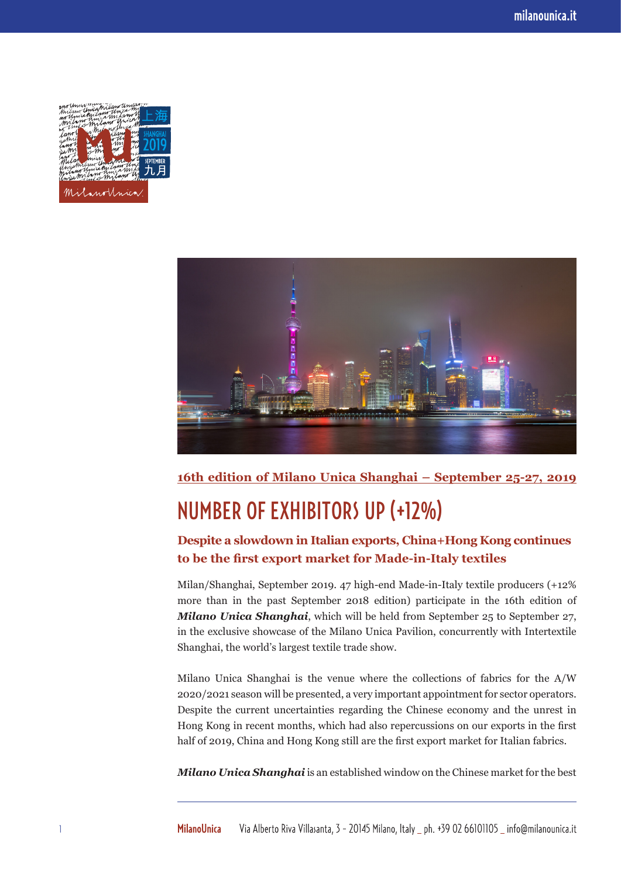



**16th edition of Milano Unica Shanghai – September 25-27, 2019**

## NUMBER OF EXHIBITORS UP (+12%)

## **Despite a slowdown in Italian exports, China+Hong Kong continues to be the first export market for Made-in-Italy textiles**

Milan/Shanghai, September 2019. 47 high-end Made-in-Italy textile producers (+12% more than in the past September 2018 edition) participate in the 16th edition of *Milano Unica Shanghai*, which will be held from September 25 to September 27, in the exclusive showcase of the Milano Unica Pavilion, concurrently with Intertextile Shanghai, the world's largest textile trade show.

Milano Unica Shanghai is the venue where the collections of fabrics for the A/W 2020/2021 season will be presented, a very important appointment for sector operators. Despite the current uncertainties regarding the Chinese economy and the unrest in Hong Kong in recent months, which had also repercussions on our exports in the first half of 2019, China and Hong Kong still are the first export market for Italian fabrics.

*Milano Unica Shanghai* is an established window on the Chinese market for the best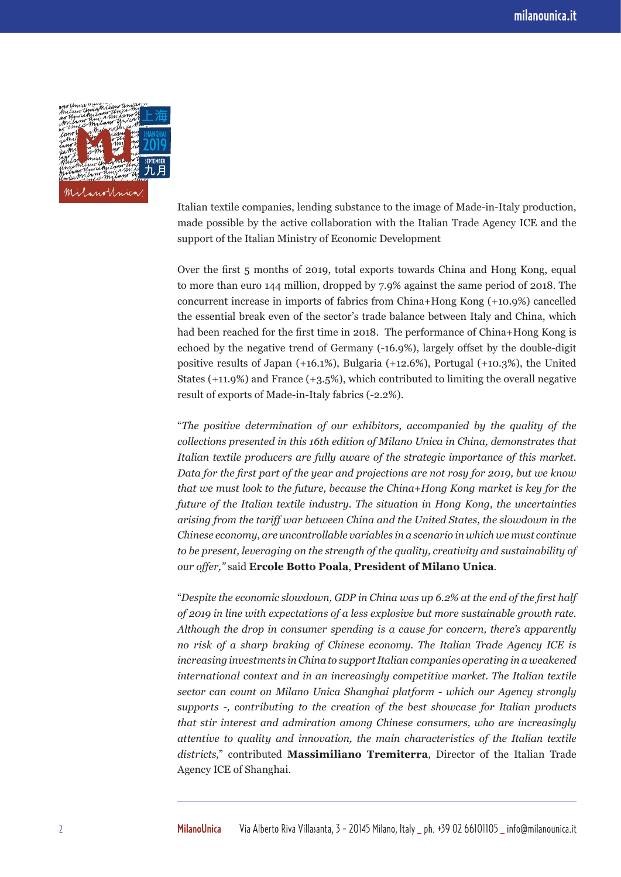

Italian textile companies, lending substance to the image of Made-in-Italy production, made possible by the active collaboration with the Italian Trade Agency ICE and the support of the Italian Ministry of Economic Development

Over the first 5 months of 2019, total exports towards China and Hong Kong, equal to more than euro 144 million, dropped by 7.9% against the same period of 2018. The concurrent increase in imports of fabrics from China+Hong Kong (+10.9%) cancelled the essential break even of the sector's trade balance between Italy and China, which had been reached for the first time in 2018. The performance of China+Hong Kong is echoed by the negative trend of Germany (-16.9%), largely offset by the double-digit positive results of Japan (+16.1%), Bulgaria (+12.6%), Portugal (+10.3%), the United States (+11.9%) and France (+3.5%), which contributed to limiting the overall negative result of exports of Made-in-Italy fabrics (-2.2%).

"*The positive determination of our exhibitors, accompanied by the quality of the collections presented in this 16th edition of Milano Unica in China, demonstrates that Italian textile producers are fully aware of the strategic importance of this market. Data for the first part of the year and projections are not rosy for 2019, but we know that we must look to the future, because the China+Hong Kong market is key for the future of the Italian textile industry. The situation in Hong Kong, the uncertainties arising from the tariff war between China and the United States, the slowdown in the Chinese economy, are uncontrollable variables in a scenario in which we must continue to be present, leveraging on the strength of the quality, creativity and sustainability of our offer,"* said **Ercole Botto Poala**, **President of Milano Unica**.

"*Despite the economic slowdown, GDP in China was up 6.2% at the end of the first half of 2019 in line with expectations of a less explosive but more sustainable growth rate. Although the drop in consumer spending is a cause for concern, there's apparently no risk of a sharp braking of Chinese economy. The Italian Trade Agency ICE is increasing investments in China to support Italian companies operating in a weakened international context and in an increasingly competitive market*. *The Italian textile sector can count on Milano Unica Shanghai platform - which our Agency strongly supports -, contributing to the creation of the best showcase for Italian products that stir interest and admiration among Chinese consumers, who are increasingly attentive to quality and innovation, the main characteristics of the Italian textile districts,*" contributed **Massimiliano Tremiterra**, Director of the Italian Trade Agency ICE of Shanghai.